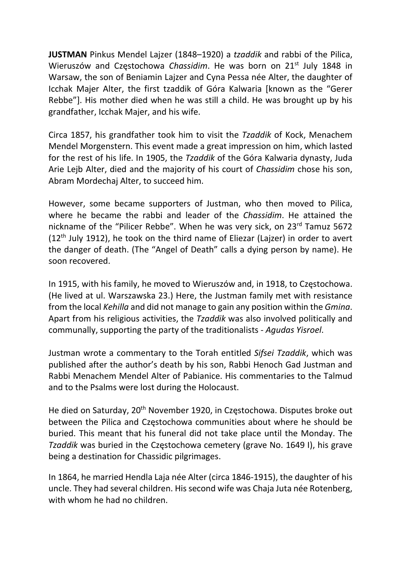JUSTMAN Pinkus Mendel Lajzer (1848–1920) a tzaddik and rabbi of the Pilica, Wieruszów and Częstochowa Chassidim. He was born on 21<sup>st</sup> July 1848 in Warsaw, the son of Beniamin Lajzer and Cyna Pessa née Alter, the daughter of Icchak Majer Alter, the first tzaddik of Góra Kalwaria [known as the "Gerer Rebbe"]. His mother died when he was still a child. He was brought up by his grandfather, Icchak Majer, and his wife.

Circa 1857, his grandfather took him to visit the Tzaddik of Kock, Menachem Mendel Morgenstern. This event made a great impression on him, which lasted for the rest of his life. In 1905, the Tzaddik of the Góra Kalwaria dynasty, Juda Arie Lejb Alter, died and the majority of his court of Chassidim chose his son, Abram Mordechaj Alter, to succeed him.

However, some became supporters of Justman, who then moved to Pilica, where he became the rabbi and leader of the Chassidim. He attained the nickname of the "Pilicer Rebbe". When he was very sick, on 23<sup>rd</sup> Tamuz 5672  $(12<sup>th</sup>$  July 1912), he took on the third name of Eliezar (Lajzer) in order to avert the danger of death. (The "Angel of Death" calls a dying person by name). He soon recovered.

In 1915, with his family, he moved to Wieruszów and, in 1918, to Częstochowa. (He lived at ul. Warszawska 23.) Here, the Justman family met with resistance from the local Kehilla and did not manage to gain any position within the Gmina. Apart from his religious activities, the Tzaddik was also involved politically and communally, supporting the party of the traditionalists - Agudas Yisroel.

Justman wrote a commentary to the Torah entitled Sifsei Tzaddik, which was published after the author's death by his son, Rabbi Henoch Gad Justman and Rabbi Menachem Mendel Alter of Pabianice. His commentaries to the Talmud and to the Psalms were lost during the Holocaust.

He died on Saturday, 20<sup>th</sup> November 1920, in Częstochowa. Disputes broke out between the Pilica and Częstochowa communities about where he should be buried. This meant that his funeral did not take place until the Monday. The Tzaddik was buried in the Częstochowa cemetery (grave No. 1649 I), his grave being a destination for Chassidic pilgrimages.

In 1864, he married Hendla Laja née Alter (circa 1846-1915), the daughter of his uncle. They had several children. His second wife was Chaja Juta née Rotenberg, with whom he had no children.